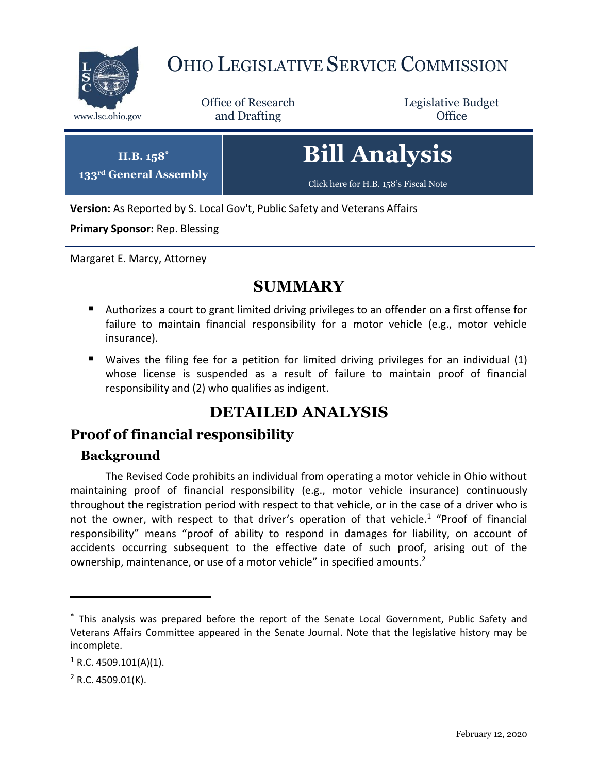

# OHIO LEGISLATIVE SERVICE COMMISSION

Office of Research www.lsc.ohio.gov **and Drafting Office** 

Legislative Budget

| $H.B. 158^*$           | <b>Bill Analysis</b>                  |
|------------------------|---------------------------------------|
| 133rd General Assembly | Click here for H.B. 158's Fiscal Note |

**Version:** As Reported by S. Local Gov't, Public Safety and Veterans Affairs

**Primary Sponsor:** Rep. Blessing

Margaret E. Marcy, Attorney

## **SUMMARY**

- Authorizes a court to grant limited driving privileges to an offender on a first offense for failure to maintain financial responsibility for a motor vehicle (e.g., motor vehicle insurance).
- Waives the filing fee for a petition for limited driving privileges for an individual (1) whose license is suspended as a result of failure to maintain proof of financial responsibility and (2) who qualifies as indigent.

# **DETAILED ANALYSIS**

### **Proof of financial responsibility**

#### **Background**

The Revised Code prohibits an individual from operating a motor vehicle in Ohio without maintaining proof of financial responsibility (e.g., motor vehicle insurance) continuously throughout the registration period with respect to that vehicle, or in the case of a driver who is not the owner, with respect to that driver's operation of that vehicle.<sup>1</sup> "Proof of financial responsibility" means "proof of ability to respond in damages for liability, on account of accidents occurring subsequent to the effective date of such proof, arising out of the ownership, maintenance, or use of a motor vehicle" in specified amounts.<sup>2</sup>

 $\overline{a}$ 

<sup>\*</sup> This analysis was prepared before the report of the Senate Local Government, Public Safety and Veterans Affairs Committee appeared in the Senate Journal. Note that the legislative history may be incomplete.

 $1$  R.C. 4509.101(A)(1).

 $2$  R.C. 4509.01(K).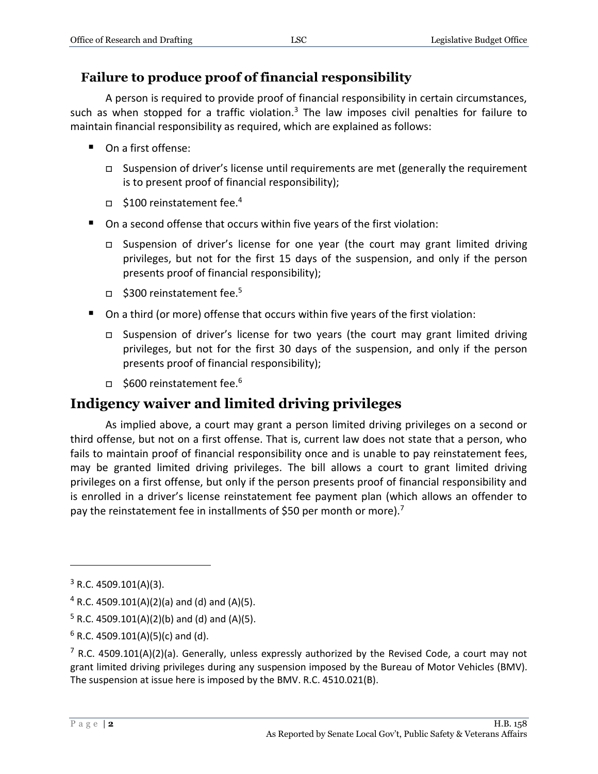#### **Failure to produce proof of financial responsibility**

A person is required to provide proof of financial responsibility in certain circumstances, such as when stopped for a traffic violation.<sup>3</sup> The law imposes civil penalties for failure to maintain financial responsibility as required, which are explained as follows:

- On a first offense:
	- $\Box$  Suspension of driver's license until requirements are met (generally the requirement is to present proof of financial responsibility);
	- $\Box$  \$100 reinstatement fee.<sup>4</sup>
- On a second offense that occurs within five years of the first violation:
	- Suspension of driver's license for one year (the court may grant limited driving privileges, but not for the first 15 days of the suspension, and only if the person presents proof of financial responsibility);
	- $\Box$  \$300 reinstatement fee.<sup>5</sup>
- On a third (or more) offense that occurs within five years of the first violation:
	- Suspension of driver's license for two years (the court may grant limited driving privileges, but not for the first 30 days of the suspension, and only if the person presents proof of financial responsibility);
	- $\Box$  \$600 reinstatement fee.<sup>6</sup>

### **Indigency waiver and limited driving privileges**

As implied above, a court may grant a person limited driving privileges on a second or third offense, but not on a first offense. That is, current law does not state that a person, who fails to maintain proof of financial responsibility once and is unable to pay reinstatement fees, may be granted limited driving privileges. The bill allows a court to grant limited driving privileges on a first offense, but only if the person presents proof of financial responsibility and is enrolled in a driver's license reinstatement fee payment plan (which allows an offender to pay the reinstatement fee in installments of \$50 per month or more).<sup>7</sup>

 $\overline{a}$ 

 $3$  R.C. 4509.101(A)(3).

 $4$  R.C. 4509.101(A)(2)(a) and (d) and (A)(5).

 $5$  R.C. 4509.101(A)(2)(b) and (d) and (A)(5).

 $6$  R.C. 4509.101(A)(5)(c) and (d).

<sup>&</sup>lt;sup>7</sup> R.C. 4509.101(A)(2)(a). Generally, unless expressly authorized by the Revised Code, a court may not grant limited driving privileges during any suspension imposed by the Bureau of Motor Vehicles (BMV). The suspension at issue here is imposed by the BMV. R.C. 4510.021(B).